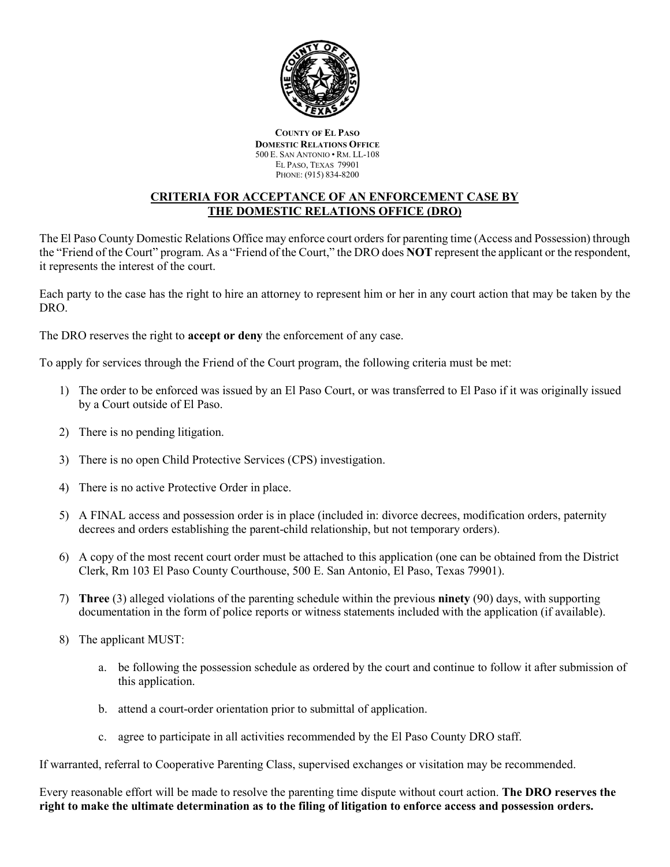

#### **COUNTY OF EL PASO DOMESTIC RELATIONS OFFICE** 500 E. SAN ANTONIO • RM. LL-108 EL PASO, TEXAS 79901 PHONE: (915) 834-8200

## **CRITERIA FOR ACCEPTANCE OF AN ENFORCEMENT CASE BY THE DOMESTIC RELATIONS OFFICE (DRO)**

The El Paso County Domestic Relations Office may enforce court orders for parenting time (Access and Possession) through the "Friend of the Court" program. As a "Friend of the Court," the DRO does **NOT** represent the applicant or the respondent, it represents the interest of the court.

Each party to the case has the right to hire an attorney to represent him or her in any court action that may be taken by the DRO.

The DRO reserves the right to **accept or deny** the enforcement of any case.

To apply for services through the Friend of the Court program, the following criteria must be met:

- 1) The order to be enforced was issued by an El Paso Court, or was transferred to El Paso if it was originally issued by a Court outside of El Paso.
- 2) There is no pending litigation.
- 3) There is no open Child Protective Services (CPS) investigation.
- 4) There is no active Protective Order in place.
- 5) A FINAL access and possession order is in place (included in: divorce decrees, modification orders, paternity decrees and orders establishing the parent-child relationship, but not temporary orders).
- 6) A copy of the most recent court order must be attached to this application (one can be obtained from the District Clerk, Rm 103 El Paso County Courthouse, 500 E. San Antonio, El Paso, Texas 79901).
- 7) **Three** (3) alleged violations of the parenting schedule within the previous **ninety** (90) days, with supporting documentation in the form of police reports or witness statements included with the application (if available).
- 8) The applicant MUST:
	- a. be following the possession schedule as ordered by the court and continue to follow it after submission of this application.
	- b. attend a court-order orientation prior to submittal of application.
	- c. agree to participate in all activities recommended by the El Paso County DRO staff.

If warranted, referral to Cooperative Parenting Class, supervised exchanges or visitation may be recommended.

Every reasonable effort will be made to resolve the parenting time dispute without court action. **The DRO reserves the right to make the ultimate determination as to the filing of litigation to enforce access and possession orders.**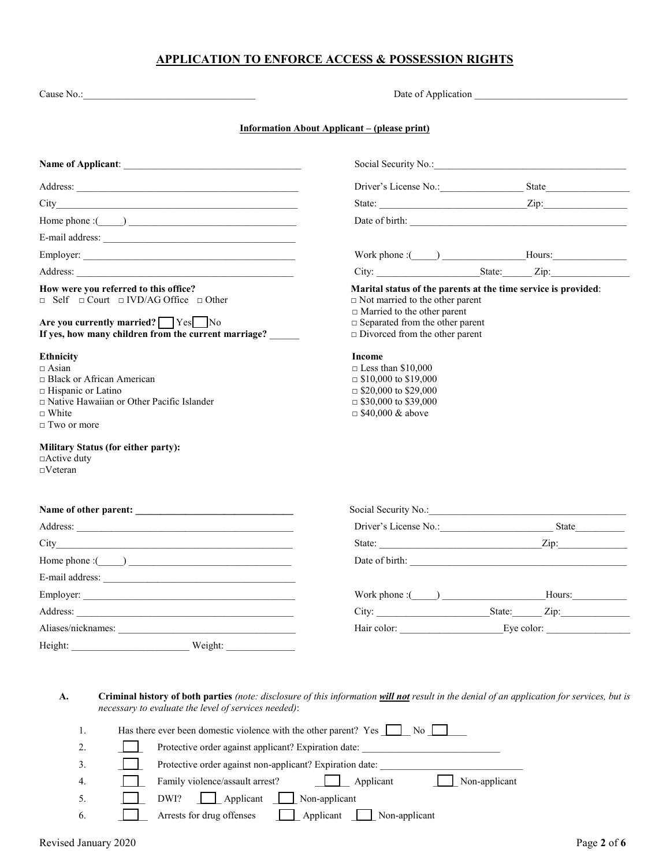## **APPLICATION TO ENFORCE ACCESS & POSSESSION RIGHTS**

|                                                                                                                                                                                                                                                                                                                                       | <b>Information About Applicant – (please print)</b>                                                                                                         |  |  |  |
|---------------------------------------------------------------------------------------------------------------------------------------------------------------------------------------------------------------------------------------------------------------------------------------------------------------------------------------|-------------------------------------------------------------------------------------------------------------------------------------------------------------|--|--|--|
|                                                                                                                                                                                                                                                                                                                                       |                                                                                                                                                             |  |  |  |
|                                                                                                                                                                                                                                                                                                                                       | Driver's License No.: State                                                                                                                                 |  |  |  |
|                                                                                                                                                                                                                                                                                                                                       |                                                                                                                                                             |  |  |  |
| Home phone : $\qquad \qquad$                                                                                                                                                                                                                                                                                                          |                                                                                                                                                             |  |  |  |
|                                                                                                                                                                                                                                                                                                                                       |                                                                                                                                                             |  |  |  |
|                                                                                                                                                                                                                                                                                                                                       |                                                                                                                                                             |  |  |  |
|                                                                                                                                                                                                                                                                                                                                       | City: State: Zip:                                                                                                                                           |  |  |  |
| How were you referred to this office?<br>$\Box$ Self $\Box$ Court $\Box$ IVD/AG Office $\Box$ Other                                                                                                                                                                                                                                   | Marital status of the parents at the time service is provided:<br>$\Box$ Not married to the other parent                                                    |  |  |  |
| Are you currently married? $\Box$ Yes $\Box$ No<br>If yes, how many children from the current marriage?                                                                                                                                                                                                                               | $\Box$ Married to the other parent<br>$\Box$ Separated from the other parent<br>$\Box$ Divorced from the other parent                                       |  |  |  |
| <b>Ethnicity</b><br>$\Box$ Asian<br>□ Black or African American<br>□ Hispanic or Latino<br>□ Native Hawaiian or Other Pacific Islander<br>$\Box$ White<br>$\Box$ Two or more                                                                                                                                                          | Income<br>$\Box$ Less than \$10,000<br>$\Box$ \$10,000 to \$19,000<br>$\Box$ \$20,000 to \$29,000<br>$\Box$ \$30,000 to \$39,000<br>$\Box$ \$40,000 & above |  |  |  |
| <b>Military Status (for either party):</b><br>$\Box$ Active duty<br>$\Box$ Veteran                                                                                                                                                                                                                                                    |                                                                                                                                                             |  |  |  |
|                                                                                                                                                                                                                                                                                                                                       |                                                                                                                                                             |  |  |  |
|                                                                                                                                                                                                                                                                                                                                       | Driver's License No.: State                                                                                                                                 |  |  |  |
|                                                                                                                                                                                                                                                                                                                                       |                                                                                                                                                             |  |  |  |
| Home phone : $\qquad \qquad$ $\qquad$ $\qquad$ $\qquad$ $\qquad$ $\qquad$ $\qquad$ $\qquad$ $\qquad$ $\qquad$ $\qquad$ $\qquad$ $\qquad$ $\qquad$ $\qquad$ $\qquad$ $\qquad$ $\qquad$ $\qquad$ $\qquad$ $\qquad$ $\qquad$ $\qquad$ $\qquad$ $\qquad$ $\qquad$ $\qquad$ $\qquad$ $\qquad$ $\qquad$ $\qquad$ $\qquad$ $\qquad$ $\qquad$ |                                                                                                                                                             |  |  |  |
|                                                                                                                                                                                                                                                                                                                                       |                                                                                                                                                             |  |  |  |
|                                                                                                                                                                                                                                                                                                                                       |                                                                                                                                                             |  |  |  |
|                                                                                                                                                                                                                                                                                                                                       | City: City: State: Zip:                                                                                                                                     |  |  |  |
| Aliases/nicknames:                                                                                                                                                                                                                                                                                                                    |                                                                                                                                                             |  |  |  |
| Height: Weight: Weight:                                                                                                                                                                                                                                                                                                               |                                                                                                                                                             |  |  |  |

**A. Criminal history of both parties** *(note: disclosure of this information will not result in the denial of an application for services, but is necessary to evaluate the level of services needed)*:

|    | Has there ever been domestic violence with the other parent? Yes<br>No l |
|----|--------------------------------------------------------------------------|
| 2. | Protective order against applicant? Expiration date:                     |
| 3. | Protective order against non-applicant? Expiration date:                 |
| 4. | Family violence/assault arrest?<br>Non-applicant<br>Applicant            |
| 5. | Applicant<br>Non-applicant<br>DWI?                                       |
| 6. | Applicant<br>Arrests for drug offenses<br>Non-applicant                  |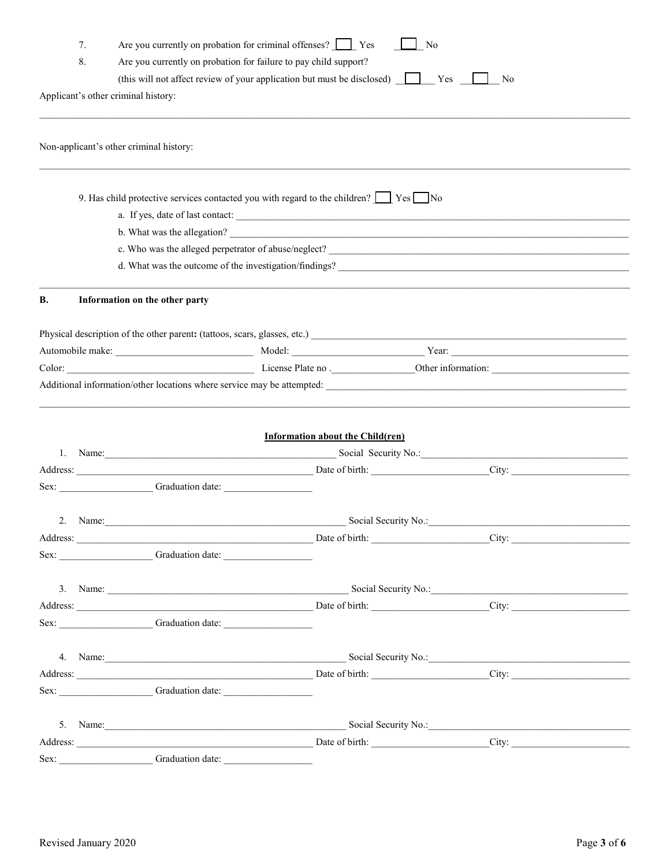|    | 7.                                                                                       | Are you currently on probation for criminal offenses? Ves                                                                                                                                                                                                                                                                                           | No |  |  |  |
|----|------------------------------------------------------------------------------------------|-----------------------------------------------------------------------------------------------------------------------------------------------------------------------------------------------------------------------------------------------------------------------------------------------------------------------------------------------------|----|--|--|--|
|    | 8.                                                                                       | Are you currently on probation for failure to pay child support?                                                                                                                                                                                                                                                                                    |    |  |  |  |
|    | (this will not affect review of your application but must be disclosed) [<br>Yes<br>  No |                                                                                                                                                                                                                                                                                                                                                     |    |  |  |  |
|    | Applicant's other criminal history:                                                      |                                                                                                                                                                                                                                                                                                                                                     |    |  |  |  |
|    | Non-applicant's other criminal history:                                                  |                                                                                                                                                                                                                                                                                                                                                     |    |  |  |  |
|    |                                                                                          |                                                                                                                                                                                                                                                                                                                                                     |    |  |  |  |
|    |                                                                                          | 9. Has child protective services contacted you with regard to the children? Set No                                                                                                                                                                                                                                                                  |    |  |  |  |
|    |                                                                                          |                                                                                                                                                                                                                                                                                                                                                     |    |  |  |  |
|    |                                                                                          |                                                                                                                                                                                                                                                                                                                                                     |    |  |  |  |
|    |                                                                                          |                                                                                                                                                                                                                                                                                                                                                     |    |  |  |  |
|    |                                                                                          | d. What was the outcome of the investigation/findings?                                                                                                                                                                                                                                                                                              |    |  |  |  |
| В. | Information on the other party                                                           |                                                                                                                                                                                                                                                                                                                                                     |    |  |  |  |
|    |                                                                                          | Physical description of the other parent: (tattoos, scars, glasses, etc.)                                                                                                                                                                                                                                                                           |    |  |  |  |
|    |                                                                                          |                                                                                                                                                                                                                                                                                                                                                     |    |  |  |  |
|    |                                                                                          |                                                                                                                                                                                                                                                                                                                                                     |    |  |  |  |
|    |                                                                                          |                                                                                                                                                                                                                                                                                                                                                     |    |  |  |  |
|    |                                                                                          |                                                                                                                                                                                                                                                                                                                                                     |    |  |  |  |
|    |                                                                                          |                                                                                                                                                                                                                                                                                                                                                     |    |  |  |  |
|    |                                                                                          | <b>Information about the Child(ren)</b>                                                                                                                                                                                                                                                                                                             |    |  |  |  |
|    |                                                                                          | 1. Name: Social Security No.: Social Security No.: Social Security No.: Social Security No.: Social Security No.:<br>Address: City: City: City: City: City: City: City: City: City: City: City: City: City: City: City: City: City: City: City: City: City: City: City: City: City: City: City: City: City: City: City: City: City: City: City: Cit |    |  |  |  |
|    | Sex: Graduation date:                                                                    |                                                                                                                                                                                                                                                                                                                                                     |    |  |  |  |
|    |                                                                                          |                                                                                                                                                                                                                                                                                                                                                     |    |  |  |  |
|    | 2. Name:                                                                                 | Social Security No.: Social Security No.:                                                                                                                                                                                                                                                                                                           |    |  |  |  |
|    |                                                                                          | Address: City: City:                                                                                                                                                                                                                                                                                                                                |    |  |  |  |
|    |                                                                                          |                                                                                                                                                                                                                                                                                                                                                     |    |  |  |  |
|    |                                                                                          |                                                                                                                                                                                                                                                                                                                                                     |    |  |  |  |
|    |                                                                                          |                                                                                                                                                                                                                                                                                                                                                     |    |  |  |  |
|    |                                                                                          | Address: City: City: City: City: City: City: City: City: City: City: City: City: City: City: City: City: City: City: City: City: City: City: City: City: City: City: City: City: City: City: City: City: City: City: City: Cit                                                                                                                      |    |  |  |  |
|    |                                                                                          |                                                                                                                                                                                                                                                                                                                                                     |    |  |  |  |
|    |                                                                                          |                                                                                                                                                                                                                                                                                                                                                     |    |  |  |  |
|    |                                                                                          | 4. Name: Social Security No.: Social Security No.:                                                                                                                                                                                                                                                                                                  |    |  |  |  |
|    |                                                                                          | Address: City: City: City: City: City: City: City: City: City: City: City: City: City: City: City: City: City: City: City: City: City: City: City: City: City: City: City: City: City: City: City: City: City: City: City: Cit                                                                                                                      |    |  |  |  |
|    |                                                                                          |                                                                                                                                                                                                                                                                                                                                                     |    |  |  |  |
|    |                                                                                          | 5. Name: <u>Containing Social Security No.:</u> Containers No.: 2008. Security No.: 2008. Security No.: 2009. 2009. Social Security No.: 2009. 2009. 2009. 2009. 2009. 2009. 2009. 2009. 2009. 2009. 2009. 2009. 2009. 2009. 2009.                                                                                                                  |    |  |  |  |
|    |                                                                                          | Address: City: City: City: City: City: City: City: City: City: City: City: City: City: City: City: City: City: City: City: City: City: City: City: City: City: City: City: City: City: City: City: City: City: City: City: Cit                                                                                                                      |    |  |  |  |
|    | Sex: Graduation date:                                                                    |                                                                                                                                                                                                                                                                                                                                                     |    |  |  |  |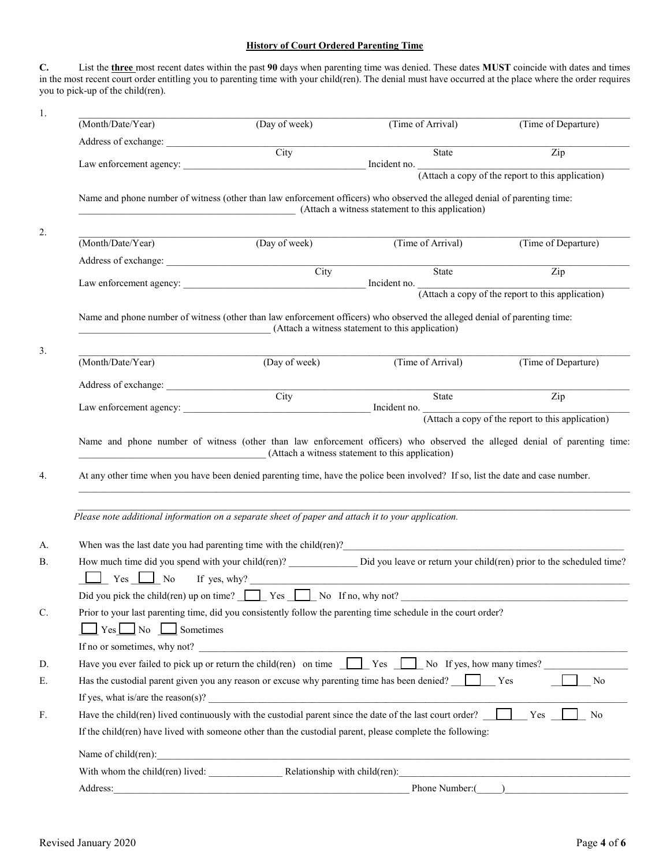#### **History of Court Ordered Parenting Time**

**C.** List the **three** most recent dates within the past **90** days when parenting time was denied. These dates **MUST** coincide with dates and times in the most recent court order entitling you to parenting time with your child(ren). The denial must have occurred at the place where the order requires you to pick-up of the child(ren).

|                                         | (Day of week)                                                                                      | (Time of Arrival)                                                                                                                                                                                                     | (Time of Departure)                                                                                                              |
|-----------------------------------------|----------------------------------------------------------------------------------------------------|-----------------------------------------------------------------------------------------------------------------------------------------------------------------------------------------------------------------------|----------------------------------------------------------------------------------------------------------------------------------|
|                                         | Address of exchange: City                                                                          |                                                                                                                                                                                                                       |                                                                                                                                  |
|                                         |                                                                                                    | State                                                                                                                                                                                                                 | Zip                                                                                                                              |
|                                         |                                                                                                    |                                                                                                                                                                                                                       | (Attach a copy of the report to this application)                                                                                |
|                                         | (Attach a witness statement to this application)                                                   | Name and phone number of witness (other than law enforcement officers) who observed the alleged denial of parenting time:                                                                                             |                                                                                                                                  |
| (Month/Date/Year)                       | (Day of week)                                                                                      | (Time of Arrival)                                                                                                                                                                                                     | (Time of Departure)                                                                                                              |
|                                         |                                                                                                    |                                                                                                                                                                                                                       |                                                                                                                                  |
|                                         | City                                                                                               | State                                                                                                                                                                                                                 | $\overline{Zip}$                                                                                                                 |
|                                         |                                                                                                    |                                                                                                                                                                                                                       | (Attach a copy of the report to this application)                                                                                |
|                                         | (Attach a witness statement to this application)                                                   | Name and phone number of witness (other than law enforcement officers) who observed the alleged denial of parenting time:                                                                                             |                                                                                                                                  |
| (Month/Date/Year)                       | (Day of week)                                                                                      | (Time of Arrival)                                                                                                                                                                                                     | (Time of Departure)                                                                                                              |
|                                         |                                                                                                    |                                                                                                                                                                                                                       |                                                                                                                                  |
|                                         | Address of exchange: <u>City</u>                                                                   | State                                                                                                                                                                                                                 | Zip                                                                                                                              |
|                                         |                                                                                                    |                                                                                                                                                                                                                       |                                                                                                                                  |
|                                         |                                                                                                    |                                                                                                                                                                                                                       | At any other time when you have been denied parenting time, have the police been involved? If so, list the date and case number. |
|                                         |                                                                                                    |                                                                                                                                                                                                                       |                                                                                                                                  |
|                                         | Please note additional information on a separate sheet of paper and attach it to your application. |                                                                                                                                                                                                                       |                                                                                                                                  |
|                                         |                                                                                                    | When was the last date you had parenting time with the child(ren)?                                                                                                                                                    |                                                                                                                                  |
|                                         |                                                                                                    | How much time did you spend with your child(ren)? Did you leave or return your child(ren) prior to the scheduled time?                                                                                                |                                                                                                                                  |
|                                         |                                                                                                    |                                                                                                                                                                                                                       |                                                                                                                                  |
| Did you pick the child(ren) up on time? | Yes                                                                                                | No If no, why not?                                                                                                                                                                                                    |                                                                                                                                  |
|                                         |                                                                                                    | Prior to your last parenting time, did you consistently follow the parenting time schedule in the court order?                                                                                                        |                                                                                                                                  |
| $Yes \fbox[] No \fbox[] Sometimes$      |                                                                                                    |                                                                                                                                                                                                                       |                                                                                                                                  |
|                                         |                                                                                                    | If no or sometimes, why not?                                                                                                                                                                                          |                                                                                                                                  |
|                                         |                                                                                                    | Have you ever failed to pick up or return the child(ren) on time $\Box$ Yes $\Box$ No If yes, how many times?<br>Has the custodial parent given you any reason or excuse why parenting time has been denied? [15] Yes | No                                                                                                                               |
|                                         |                                                                                                    |                                                                                                                                                                                                                       |                                                                                                                                  |
|                                         |                                                                                                    | If yes, what is/are the reason(s)? $\qquad \qquad$<br>Have the child(ren) lived continuously with the custodial parent since the date of the last court order? $\Box$ Yes $\Box$ No                                   |                                                                                                                                  |
|                                         |                                                                                                    | If the child(ren) have lived with someone other than the custodial parent, please complete the following:                                                                                                             |                                                                                                                                  |
| Name of child(ren):                     |                                                                                                    |                                                                                                                                                                                                                       |                                                                                                                                  |
|                                         |                                                                                                    | With whom the child(ren) lived: Relationship with child(ren): Relationship with child(ren):                                                                                                                           |                                                                                                                                  |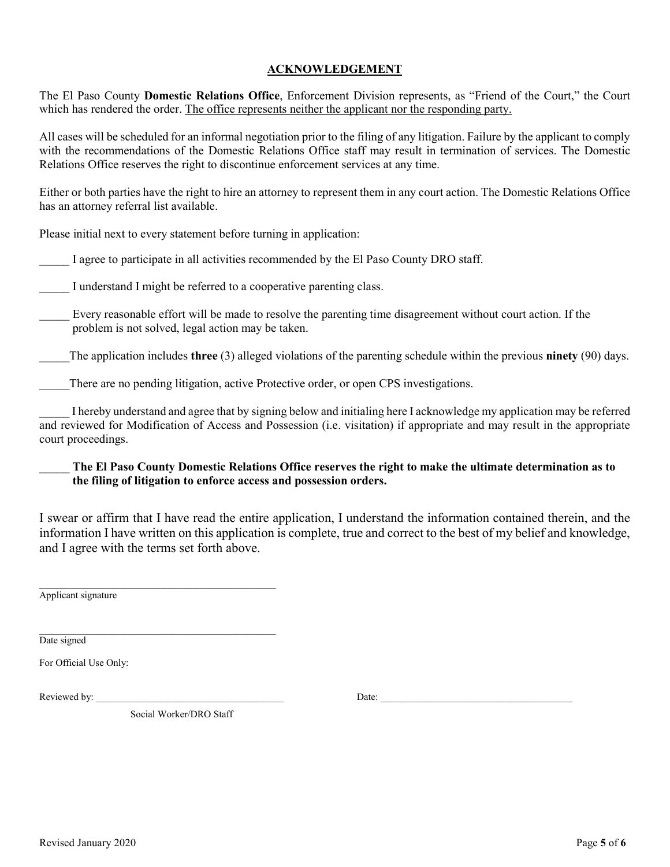## **ACKNOWLEDGEMENT**

The El Paso County **Domestic Relations Office**, Enforcement Division represents, as "Friend of the Court," the Court which has rendered the order. The office represents neither the applicant nor the responding party.

All cases will be scheduled for an informal negotiation prior to the filing of any litigation. Failure by the applicant to comply with the recommendations of the Domestic Relations Office staff may result in termination of services. The Domestic Relations Office reserves the right to discontinue enforcement services at any time.

Either or both parties have the right to hire an attorney to represent them in any court action. The Domestic Relations Office has an attorney referral list available.

Please initial next to every statement before turning in application:

I agree to participate in all activities recommended by the El Paso County DRO staff.

I understand I might be referred to a cooperative parenting class.

Every reasonable effort will be made to resolve the parenting time disagreement without court action. If the problem is not solved, legal action may be taken.

\_\_\_\_\_The application includes **three** (3) alleged violations of the parenting schedule within the previous **ninety** (90) days.

There are no pending litigation, active Protective order, or open CPS investigations.

\_\_\_\_\_ I hereby understand and agree that by signing below and initialing here I acknowledge my application may be referred and reviewed for Modification of Access and Possession (i.e. visitation) if appropriate and may result in the appropriate court proceedings.

\_\_\_\_\_ **The El Paso County Domestic Relations Office reserves the right to make the ultimate determination as to the filing of litigation to enforce access and possession orders.** 

I swear or affirm that I have read the entire application, I understand the information contained therein, and the information I have written on this application is complete, true and correct to the best of my belief and knowledge, and I agree with the terms set forth above.

Applicant signature

 $\mathcal{L}_\text{max}$  and the contract of the contract of the contract of the contract of the contract of the contract of the contract of the contract of the contract of the contract of the contract of the contract of the contrac Date signed

For Official Use Only:

Reviewed by: \_\_\_\_\_\_\_\_\_\_\_\_\_\_\_\_\_\_\_\_\_\_\_\_\_\_\_\_\_\_\_\_\_\_\_\_\_\_ Date: \_\_\_\_\_\_\_\_\_\_\_\_\_\_\_\_\_\_\_\_\_\_\_\_\_\_\_\_\_\_\_\_\_\_\_\_\_\_\_

Social Worker/DRO Staff

 $\mathcal{L}_\text{max}$  , and the set of the set of the set of the set of the set of the set of the set of the set of the set of